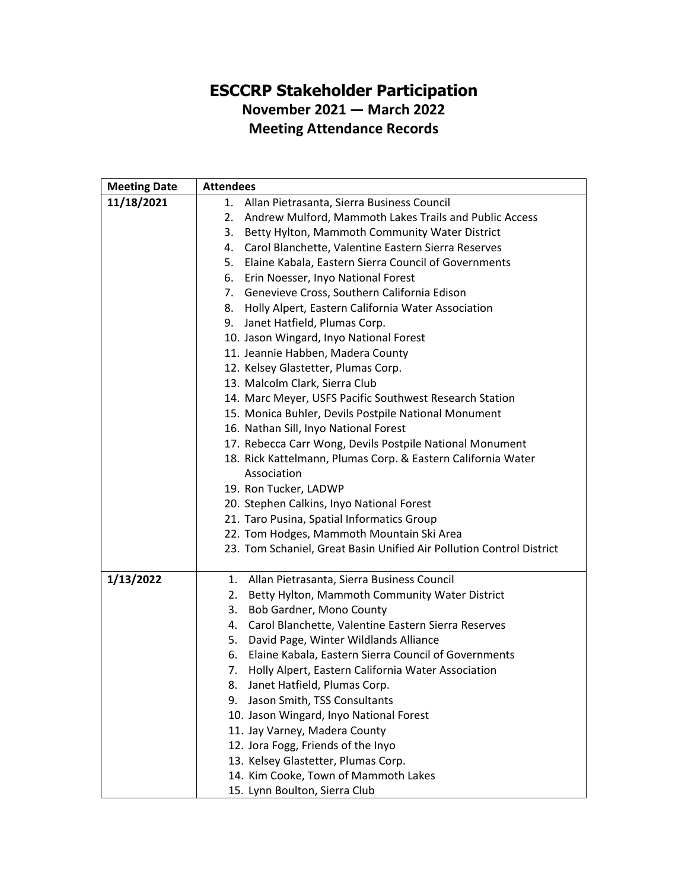## **ESCCRP Stakeholder Participation November 2021 — March 2022 Meeting Attendance Records**

| <b>Meeting Date</b> | <b>Attendees</b>                                                                                   |  |  |
|---------------------|----------------------------------------------------------------------------------------------------|--|--|
| 11/18/2021          | 1. Allan Pietrasanta, Sierra Business Council                                                      |  |  |
|                     | Andrew Mulford, Mammoth Lakes Trails and Public Access<br>2.                                       |  |  |
|                     | Betty Hylton, Mammoth Community Water District<br>3.                                               |  |  |
|                     | 4. Carol Blanchette, Valentine Eastern Sierra Reserves                                             |  |  |
|                     | Elaine Kabala, Eastern Sierra Council of Governments<br>5.                                         |  |  |
|                     | 6. Erin Noesser, Inyo National Forest                                                              |  |  |
|                     | 7. Genevieve Cross, Southern California Edison                                                     |  |  |
|                     | 8. Holly Alpert, Eastern California Water Association                                              |  |  |
|                     | Janet Hatfield, Plumas Corp.<br>9.                                                                 |  |  |
|                     | 10. Jason Wingard, Inyo National Forest                                                            |  |  |
|                     | 11. Jeannie Habben, Madera County                                                                  |  |  |
|                     | 12. Kelsey Glastetter, Plumas Corp.                                                                |  |  |
|                     | 13. Malcolm Clark, Sierra Club                                                                     |  |  |
|                     | 14. Marc Meyer, USFS Pacific Southwest Research Station                                            |  |  |
|                     | 15. Monica Buhler, Devils Postpile National Monument                                               |  |  |
|                     | 16. Nathan Sill, Inyo National Forest                                                              |  |  |
|                     | 17. Rebecca Carr Wong, Devils Postpile National Monument                                           |  |  |
|                     | 18. Rick Kattelmann, Plumas Corp. & Eastern California Water                                       |  |  |
|                     | Association                                                                                        |  |  |
|                     | 19. Ron Tucker, LADWP                                                                              |  |  |
|                     | 20. Stephen Calkins, Inyo National Forest                                                          |  |  |
|                     | 21. Taro Pusina, Spatial Informatics Group                                                         |  |  |
|                     | 22. Tom Hodges, Mammoth Mountain Ski Area                                                          |  |  |
|                     | 23. Tom Schaniel, Great Basin Unified Air Pollution Control District                               |  |  |
| 1/13/2022           |                                                                                                    |  |  |
|                     | 1. Allan Pietrasanta, Sierra Business Council<br>2. Betty Hylton, Mammoth Community Water District |  |  |
|                     | Bob Gardner, Mono County<br>3.                                                                     |  |  |
|                     | Carol Blanchette, Valentine Eastern Sierra Reserves<br>4.                                          |  |  |
|                     | David Page, Winter Wildlands Alliance<br>5.                                                        |  |  |
|                     | Elaine Kabala, Eastern Sierra Council of Governments<br>6.                                         |  |  |
|                     | Holly Alpert, Eastern California Water Association<br>7.                                           |  |  |
|                     | Janet Hatfield, Plumas Corp.<br>8.                                                                 |  |  |
|                     | Jason Smith, TSS Consultants<br>9.                                                                 |  |  |
|                     | 10. Jason Wingard, Inyo National Forest                                                            |  |  |
|                     | 11. Jay Varney, Madera County                                                                      |  |  |
|                     | 12. Jora Fogg, Friends of the Inyo                                                                 |  |  |
|                     | 13. Kelsey Glastetter, Plumas Corp.                                                                |  |  |
|                     | 14. Kim Cooke, Town of Mammoth Lakes                                                               |  |  |
|                     | 15. Lynn Boulton, Sierra Club                                                                      |  |  |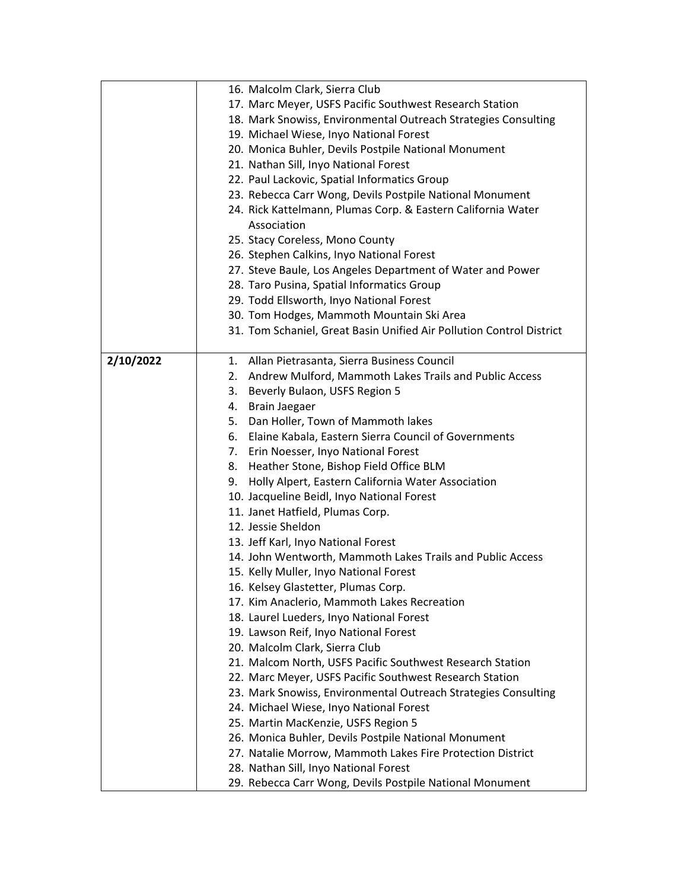|           | 16. Malcolm Clark, Sierra Club                                       |
|-----------|----------------------------------------------------------------------|
|           | 17. Marc Meyer, USFS Pacific Southwest Research Station              |
|           | 18. Mark Snowiss, Environmental Outreach Strategies Consulting       |
|           | 19. Michael Wiese, Inyo National Forest                              |
|           | 20. Monica Buhler, Devils Postpile National Monument                 |
|           | 21. Nathan Sill, Inyo National Forest                                |
|           | 22. Paul Lackovic, Spatial Informatics Group                         |
|           | 23. Rebecca Carr Wong, Devils Postpile National Monument             |
|           | 24. Rick Kattelmann, Plumas Corp. & Eastern California Water         |
|           | Association                                                          |
|           | 25. Stacy Coreless, Mono County                                      |
|           | 26. Stephen Calkins, Inyo National Forest                            |
|           | 27. Steve Baule, Los Angeles Department of Water and Power           |
|           | 28. Taro Pusina, Spatial Informatics Group                           |
|           | 29. Todd Ellsworth, Inyo National Forest                             |
|           | 30. Tom Hodges, Mammoth Mountain Ski Area                            |
|           | 31. Tom Schaniel, Great Basin Unified Air Pollution Control District |
|           |                                                                      |
| 2/10/2022 | 1. Allan Pietrasanta, Sierra Business Council                        |
|           | 2. Andrew Mulford, Mammoth Lakes Trails and Public Access            |
|           | 3. Beverly Bulaon, USFS Region 5                                     |
|           | 4. Brain Jaegaer                                                     |
|           | 5. Dan Holler, Town of Mammoth lakes                                 |
|           | 6. Elaine Kabala, Eastern Sierra Council of Governments              |
|           | 7. Erin Noesser, Inyo National Forest                                |
|           | 8. Heather Stone, Bishop Field Office BLM                            |
|           | 9. Holly Alpert, Eastern California Water Association                |
|           | 10. Jacqueline Beidl, Inyo National Forest                           |
|           | 11. Janet Hatfield, Plumas Corp.                                     |
|           | 12. Jessie Sheldon                                                   |
|           | 13. Jeff Karl, Inyo National Forest                                  |
|           | 14. John Wentworth, Mammoth Lakes Trails and Public Access           |
|           | 15. Kelly Muller, Inyo National Forest                               |
|           | 16. Kelsey Glastetter, Plumas Corp.                                  |
|           | 17. Kim Anaclerio, Mammoth Lakes Recreation                          |
|           | 18. Laurel Lueders, Inyo National Forest                             |
|           | 19. Lawson Reif, Inyo National Forest                                |
|           | 20. Malcolm Clark, Sierra Club                                       |
|           | 21. Malcom North, USFS Pacific Southwest Research Station            |
|           | 22. Marc Meyer, USFS Pacific Southwest Research Station              |
|           | 23. Mark Snowiss, Environmental Outreach Strategies Consulting       |
|           | 24. Michael Wiese, Inyo National Forest                              |
|           | 25. Martin MacKenzie, USFS Region 5                                  |
|           | 26. Monica Buhler, Devils Postpile National Monument                 |
|           | 27. Natalie Morrow, Mammoth Lakes Fire Protection District           |
|           | 28. Nathan Sill, Inyo National Forest                                |
|           | 29. Rebecca Carr Wong, Devils Postpile National Monument             |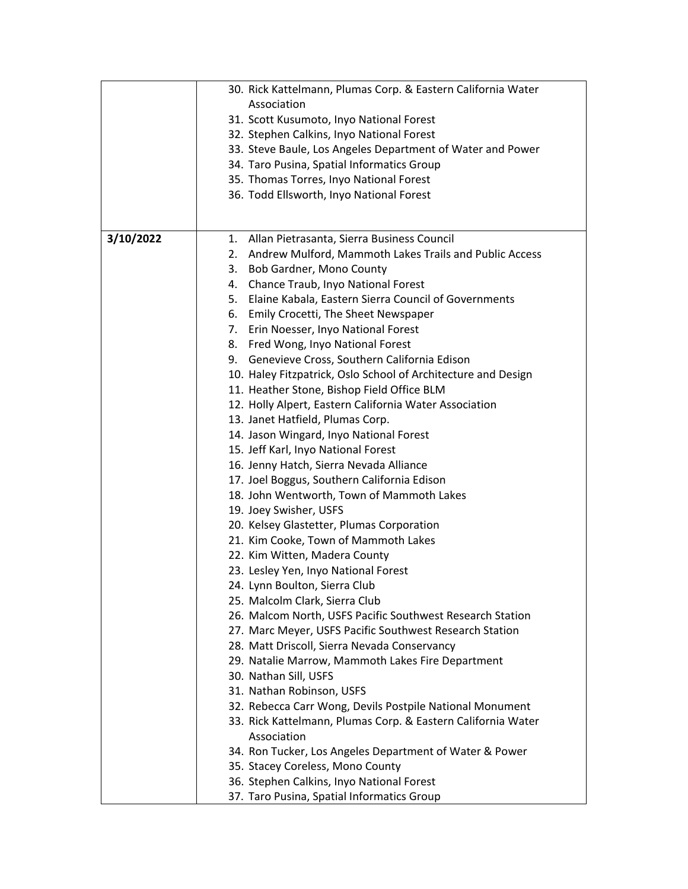|           | 30. Rick Kattelmann, Plumas Corp. & Eastern California Water  |
|-----------|---------------------------------------------------------------|
|           | Association                                                   |
|           | 31. Scott Kusumoto, Inyo National Forest                      |
|           | 32. Stephen Calkins, Inyo National Forest                     |
|           | 33. Steve Baule, Los Angeles Department of Water and Power    |
|           | 34. Taro Pusina, Spatial Informatics Group                    |
|           | 35. Thomas Torres, Inyo National Forest                       |
|           | 36. Todd Ellsworth, Inyo National Forest                      |
|           |                                                               |
|           |                                                               |
| 3/10/2022 | 1. Allan Pietrasanta, Sierra Business Council                 |
|           | 2. Andrew Mulford, Mammoth Lakes Trails and Public Access     |
|           | 3. Bob Gardner, Mono County                                   |
|           | 4. Chance Traub, Inyo National Forest                         |
|           | 5. Elaine Kabala, Eastern Sierra Council of Governments       |
|           | 6. Emily Crocetti, The Sheet Newspaper                        |
|           | 7. Erin Noesser, Inyo National Forest                         |
|           | 8. Fred Wong, Inyo National Forest                            |
|           | 9. Genevieve Cross, Southern California Edison                |
|           | 10. Haley Fitzpatrick, Oslo School of Architecture and Design |
|           | 11. Heather Stone, Bishop Field Office BLM                    |
|           | 12. Holly Alpert, Eastern California Water Association        |
|           | 13. Janet Hatfield, Plumas Corp.                              |
|           | 14. Jason Wingard, Inyo National Forest                       |
|           | 15. Jeff Karl, Inyo National Forest                           |
|           | 16. Jenny Hatch, Sierra Nevada Alliance                       |
|           | 17. Joel Boggus, Southern California Edison                   |
|           | 18. John Wentworth, Town of Mammoth Lakes                     |
|           | 19. Joey Swisher, USFS                                        |
|           | 20. Kelsey Glastetter, Plumas Corporation                     |
|           | 21. Kim Cooke, Town of Mammoth Lakes                          |
|           | 22. Kim Witten, Madera County                                 |
|           | 23. Lesley Yen, Inyo National Forest                          |
|           | 24. Lynn Boulton, Sierra Club                                 |
|           | 25. Malcolm Clark, Sierra Club                                |
|           | 26. Malcom North, USFS Pacific Southwest Research Station     |
|           | 27. Marc Meyer, USFS Pacific Southwest Research Station       |
|           | 28. Matt Driscoll, Sierra Nevada Conservancy                  |
|           | 29. Natalie Marrow, Mammoth Lakes Fire Department             |
|           | 30. Nathan Sill, USFS                                         |
|           | 31. Nathan Robinson, USFS                                     |
|           | 32. Rebecca Carr Wong, Devils Postpile National Monument      |
|           | 33. Rick Kattelmann, Plumas Corp. & Eastern California Water  |
|           | Association                                                   |
|           | 34. Ron Tucker, Los Angeles Department of Water & Power       |
|           | 35. Stacey Coreless, Mono County                              |
|           | 36. Stephen Calkins, Inyo National Forest                     |
|           | 37. Taro Pusina, Spatial Informatics Group                    |